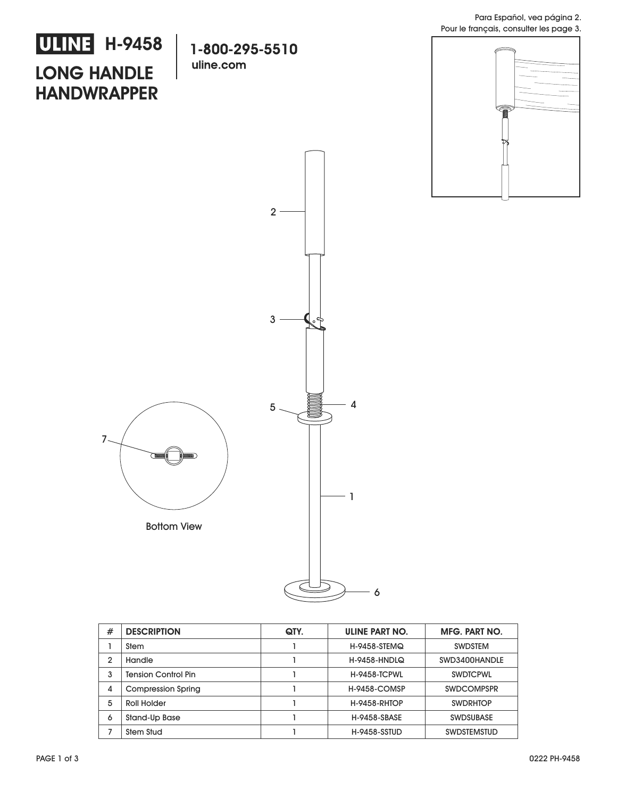## **LONG HANDLE HANDWRAPPER ULINE** H-9458

1-800-295-5510 uline.com





| #              | <b>DESCRIPTION</b>         | QTY. | ULINE PART NO.      | <b>MFG. PART NO.</b> |
|----------------|----------------------------|------|---------------------|----------------------|
|                | Stem                       |      | H-9458-STEMQ        | <b>SWDSTEM</b>       |
| $\overline{2}$ | Handle                     |      | <b>H-9458-HNDLQ</b> | SWD3400HANDLE        |
| 3              | <b>Tension Control Pin</b> |      | <b>H-9458-TCPWL</b> | <b>SWDTCPWL</b>      |
| 4              | <b>Compression Spring</b>  |      | <b>H-9458-COMSP</b> | <b>SWDCOMPSPR</b>    |
| 5              | Roll Holder                |      | <b>H-9458-RHTOP</b> | <b>SWDRHTOP</b>      |
| 6              | Stand-Up Base              |      | <b>H-9458-SBASE</b> | <b>SWDSUBASE</b>     |
| 7              | Stem Stud                  |      | <b>H-9458-SSTUD</b> | <b>SWDSTEMSTUD</b>   |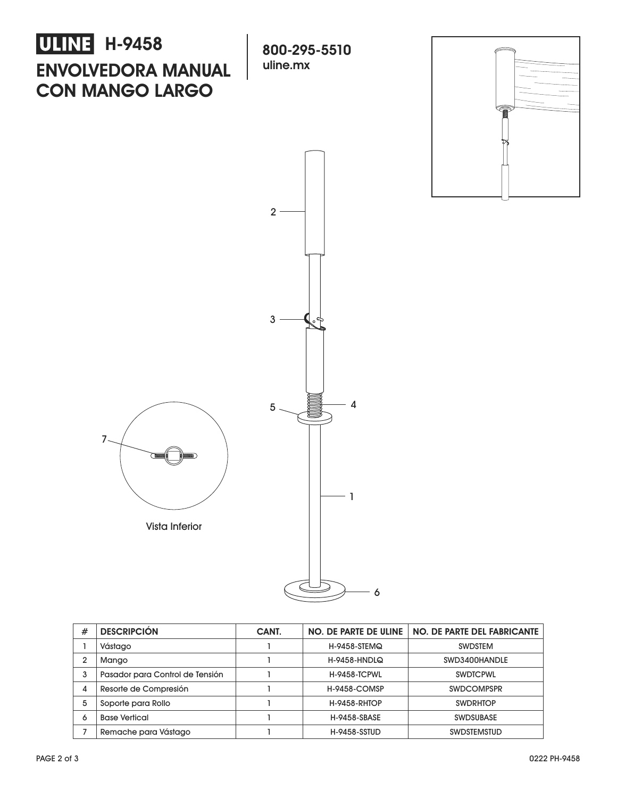

| # | <b>DESCRIPCIÓN</b>              | CANT. | NO. DE PARTE DE ULINE | NO. DE PARTE DEL FABRICANTE |
|---|---------------------------------|-------|-----------------------|-----------------------------|
|   | Vástago                         |       | H-9458-STEMQ          | <b>SWDSTEM</b>              |
| 2 | Mango                           |       | <b>H-9458-HNDLQ</b>   | SWD3400HANDLE               |
| 3 | Pasador para Control de Tensión |       | <b>H-9458-TCPWL</b>   | <b>SWDTCPWL</b>             |
| 4 | Resorte de Compresión           |       | <b>H-9458-COMSP</b>   | <b>SWDCOMPSPR</b>           |
| 5 | Soporte para Rollo              |       | <b>H-9458-RHTOP</b>   | <b>SWDRHTOP</b>             |
| 6 | <b>Base Vertical</b>            |       | <b>H-9458-SBASE</b>   | <b>SWDSUBASE</b>            |
|   | Remache para Vástago            |       | <b>H-9458-SSTUD</b>   | <b>SWDSTEMSTUD</b>          |